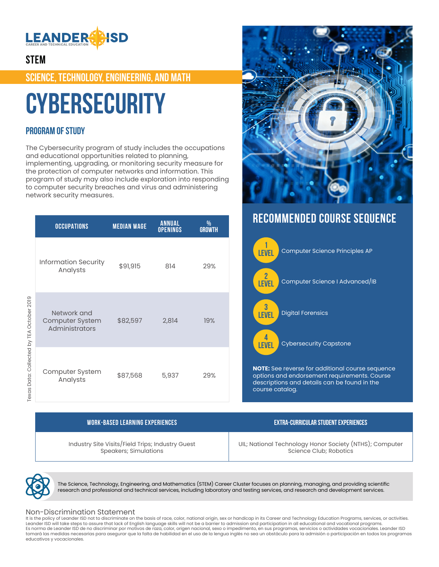

### **STEM**

**SCIENCE, TECHNOLOGY, ENGINEERING, AND MATH**

# **Cybersecurity**

### **PROGRAM OF STUDY**

The Cybersecurity program of study includes the occupations and educational opportunities related to planning, implementing, upgrading, or monitoring security measure for the protection of computer networks and information. This program of study may also include exploration into responding to computer security breaches and virus and administering network security measures.

|                                        | <b>OCCUPATIONS</b>                               | <b>MEDIAN WAGE</b> | <b>ANNUAL</b><br><b>OPENINGS</b> | %<br><b>GROWTH</b> |
|----------------------------------------|--------------------------------------------------|--------------------|----------------------------------|--------------------|
|                                        | <b>Information Security</b><br>Analysts          | \$91,915           | 814                              | 29%                |
| as Dara: Collected by TEV Octobel 2019 | Network and<br>Computer System<br>Administrators | \$82,597           | 2,814                            | 19%                |
|                                        | Computer System<br>Analysts                      | \$87,568           | 5,937                            | 29%                |

# **RECOMMENDED COURSE SEQUENCE**



Texas Data: Collected by TEA October 2019 ô

| <b>WORK-BASED LEARNING EXPERIENCES</b>                                    | EXTRA-CURRICULAR STUDENT EXPERIENCES                                              |  |  |
|---------------------------------------------------------------------------|-----------------------------------------------------------------------------------|--|--|
| Industry Site Visits/Field Trips; Industry Guest<br>Speakers; Simulations | UIL; National Technology Honor Society (NTHS); Computer<br>Science Club: Robotics |  |  |
|                                                                           |                                                                                   |  |  |

The Science, Technology, Engineering, and Mathematics (STEM) Career Cluster focuses on planning, managing, and providing scientific research and professional and technical services, including laboratory and testing services, and research and development services.

#### Non-Discrimination Statement

It is the policy of Leander ISD not to discriminate on the basis of race, color, national origin, sex or handicap in its Career and Technology Education Programs, services, or activities. Leander ISD will take steps to assure that lack of English language skills will not be a barrier to admission and participation in all educational and vocational programs. Es norma de Leander ISD de no discriminar por motivos de raza, color, origen nacional, sexo o impedimento, en sus programas, servicios o actividades vocacionales. Leander ISD tomará las medidas necesarias para asegurar que la falta de habilidad en el uso de la lengua inglés no sea un obstáculo para la admisión o participación en todos los programas educativos y vocacionales.